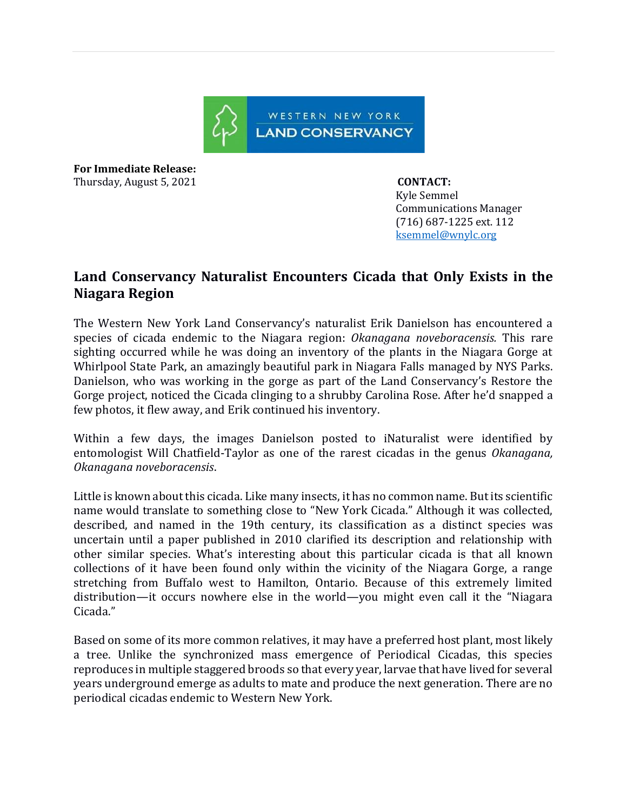

**For Immediate Release:**  Thursday, August 5, 2021 **CONTACT:** 

 Kyle Semmel Communications Manager (716) 687-1225 ext. 112 [ksemmel@wnylc.org](mailto:ksemmel@wnylc.org) 

## **Land Conservancy Naturalist Encounters Cicada that Only Exists in the Niagara Region**

The Western New York Land Conservancy's naturalist Erik Danielson has encountered a species of cicada endemic to the Niagara region: *Okanagana noveboracensis.* This rare sighting occurred while he was doing an inventory of the plants in the Niagara Gorge at Whirlpool State Park, an amazingly beautiful park in Niagara Falls managed by NYS Parks. Danielson, who was working in the gorge as part of the Land Conservancy's Restore the Gorge project, noticed the Cicada clinging to a shrubby Carolina Rose. After he'd snapped a few photos, it flew away, and Erik continued his inventory.

Within a few days, the images Danielson posted to iNaturalist were identified by entomologist Will Chatfield-Taylor as one of the rarest cicadas in the genus *Okanagana, Okanagana noveboracensis*.

Little is known about this cicada. Like many insects, it has no common name. But its scientific name would translate to something close to "New York Cicada." Although it was collected, described, and named in the 19th century, its classification as a distinct species was uncertain until a paper published in 2010 clarified its description and relationship with other similar species. What's interesting about this particular cicada is that all known collections of it have been found only within the vicinity of the Niagara Gorge, a range stretching from Buffalo west to Hamilton, Ontario. Because of this extremely limited distribution—it occurs nowhere else in the world—you might even call it the "Niagara Cicada."

Based on some of its more common relatives, it may have a preferred host plant, most likely a tree. Unlike the synchronized mass emergence of Periodical Cicadas, this species reproduces in multiple staggered broods so that every year, larvae that have lived for several years underground emerge as adults to mate and produce the next generation. There are no periodical cicadas endemic to Western New York.